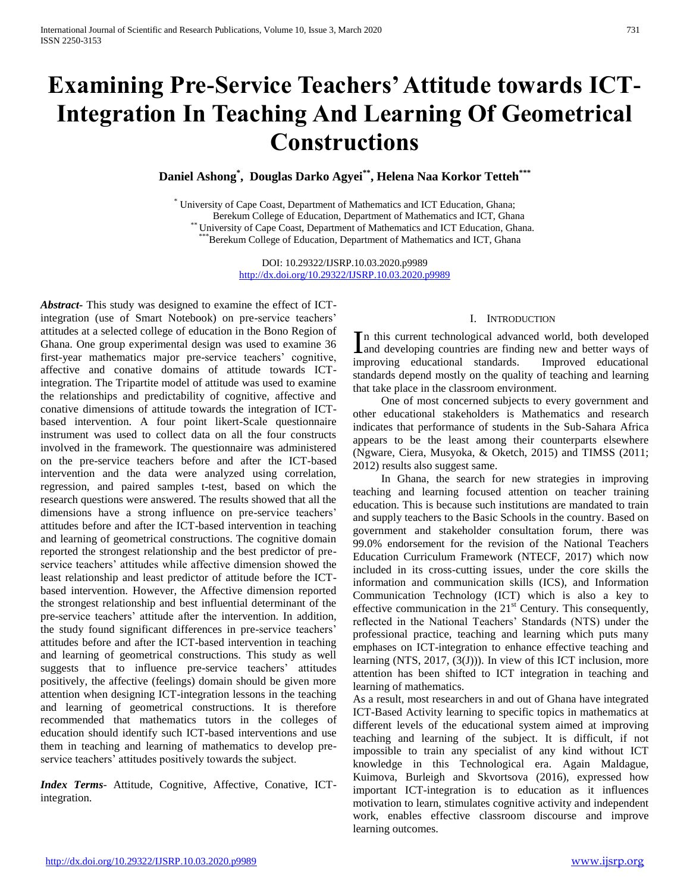# **Examining Pre-Service Teachers' Attitude towards ICT-Integration In Teaching And Learning Of Geometrical Constructions**

**Daniel Ashong\* , Douglas Darko Agyei\*\*, Helena Naa Korkor Tetteh\*\*\***

\* University of Cape Coast, Department of Mathematics and ICT Education, Ghana; Berekum College of Education, Department of Mathematics and ICT, Ghana <sup>\*</sup> University of Cape Coast, Department of Mathematics and ICT Education, Ghana. \*Berekum College of Education, Department of Mathematics and ICT, Ghana

> DOI: 10.29322/IJSRP.10.03.2020.p9989 <http://dx.doi.org/10.29322/IJSRP.10.03.2020.p9989>

*Abstract***-** This study was designed to examine the effect of ICTintegration (use of Smart Notebook) on pre-service teachers' attitudes at a selected college of education in the Bono Region of Ghana. One group experimental design was used to examine 36 first-year mathematics major pre-service teachers' cognitive, affective and conative domains of attitude towards ICTintegration. The Tripartite model of attitude was used to examine the relationships and predictability of cognitive, affective and conative dimensions of attitude towards the integration of ICTbased intervention. A four point likert-Scale questionnaire instrument was used to collect data on all the four constructs involved in the framework. The questionnaire was administered on the pre-service teachers before and after the ICT-based intervention and the data were analyzed using correlation, regression, and paired samples t-test, based on which the research questions were answered. The results showed that all the dimensions have a strong influence on pre-service teachers' attitudes before and after the ICT-based intervention in teaching and learning of geometrical constructions. The cognitive domain reported the strongest relationship and the best predictor of preservice teachers' attitudes while affective dimension showed the least relationship and least predictor of attitude before the ICTbased intervention. However, the Affective dimension reported the strongest relationship and best influential determinant of the pre-service teachers' attitude after the intervention. In addition, the study found significant differences in pre-service teachers' attitudes before and after the ICT-based intervention in teaching and learning of geometrical constructions. This study as well suggests that to influence pre-service teachers' attitudes positively, the affective (feelings) domain should be given more attention when designing ICT-integration lessons in the teaching and learning of geometrical constructions. It is therefore recommended that mathematics tutors in the colleges of education should identify such ICT-based interventions and use them in teaching and learning of mathematics to develop preservice teachers' attitudes positively towards the subject.

*Index Terms*- Attitude, Cognitive, Affective, Conative, ICTintegration.

#### I. INTRODUCTION

n this current technological advanced world, both developed In this current technological advanced world, both developed<br>and developing countries are finding new and better ways of improving educational standards. Improved educational standards depend mostly on the quality of teaching and learning that take place in the classroom environment.

 One of most concerned subjects to every government and other educational stakeholders is Mathematics and research indicates that performance of students in the Sub-Sahara Africa appears to be the least among their counterparts elsewhere (Ngware, Ciera, Musyoka, & Oketch, 2015) and TIMSS (2011; 2012) results also suggest same.

 In Ghana, the search for new strategies in improving teaching and learning focused attention on teacher training education. This is because such institutions are mandated to train and supply teachers to the Basic Schools in the country. Based on government and stakeholder consultation forum, there was 99.0% endorsement for the revision of the National Teachers Education Curriculum Framework (NTECF, 2017) which now included in its cross-cutting issues, under the core skills the information and communication skills (ICS), and Information Communication Technology (ICT) which is also a key to effective communication in the  $21<sup>st</sup>$  Century. This consequently, reflected in the National Teachers' Standards (NTS) under the professional practice, teaching and learning which puts many emphases on ICT-integration to enhance effective teaching and learning (NTS, 2017, (3(J))). In view of this ICT inclusion, more attention has been shifted to ICT integration in teaching and learning of mathematics.

As a result, most researchers in and out of Ghana have integrated ICT-Based Activity learning to specific topics in mathematics at different levels of the educational system aimed at improving teaching and learning of the subject. It is difficult, if not impossible to train any specialist of any kind without ICT knowledge in this Technological era. Again Maldague, Kuimova, Burleigh and Skvortsova (2016), expressed how important ICT-integration is to education as it influences motivation to learn, stimulates cognitive activity and independent work, enables effective classroom discourse and improve learning outcomes.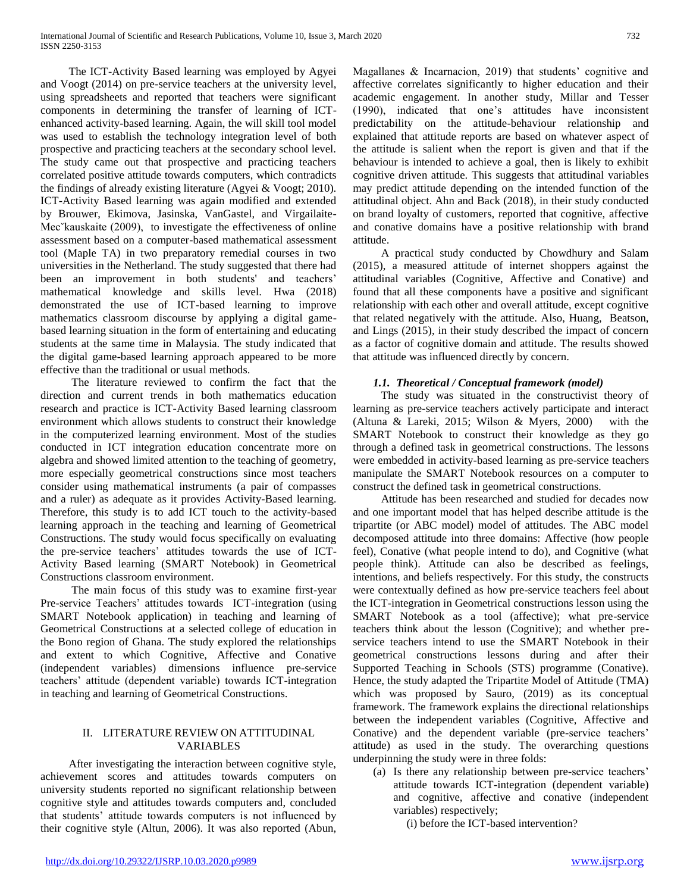The ICT-Activity Based learning was employed by Agyei and Voogt (2014) on pre-service teachers at the university level, using spreadsheets and reported that teachers were significant components in determining the transfer of learning of ICTenhanced activity-based learning. Again, the will skill tool model was used to establish the technology integration level of both prospective and practicing teachers at the secondary school level. The study came out that prospective and practicing teachers correlated positive attitude towards computers, which contradicts the findings of already existing literature (Agyei & Voogt; 2010). ICT-Activity Based learning was again modified and extended by Brouwer, Ekimova, Jasinska, VanGastel, and Virgailaite-Mec<sup>x</sup>kauskaite (2009), to investigate the effectiveness of online assessment based on a computer-based mathematical assessment tool (Maple TA) in two preparatory remedial courses in two universities in the Netherland. The study suggested that there had been an improvement in both students' and teachers' mathematical knowledge and skills level. Hwa (2018) demonstrated the use of ICT-based learning to improve mathematics classroom discourse by applying a digital gamebased learning situation in the form of entertaining and educating students at the same time in Malaysia. The study indicated that the digital game-based learning approach appeared to be more effective than the traditional or usual methods.

 The literature reviewed to confirm the fact that the direction and current trends in both mathematics education research and practice is ICT-Activity Based learning classroom environment which allows students to construct their knowledge in the computerized learning environment. Most of the studies conducted in ICT integration education concentrate more on algebra and showed limited attention to the teaching of geometry, more especially geometrical constructions since most teachers consider using mathematical instruments (a pair of compasses and a ruler) as adequate as it provides Activity-Based learning. Therefore, this study is to add ICT touch to the activity-based learning approach in the teaching and learning of Geometrical Constructions. The study would focus specifically on evaluating the pre-service teachers' attitudes towards the use of ICT-Activity Based learning (SMART Notebook) in Geometrical Constructions classroom environment.

 The main focus of this study was to examine first-year Pre-service Teachers' attitudes towards ICT-integration (using SMART Notebook application) in teaching and learning of Geometrical Constructions at a selected college of education in the Bono region of Ghana. The study explored the relationships and extent to which Cognitive, Affective and Conative (independent variables) dimensions influence pre-service teachers' attitude (dependent variable) towards ICT-integration in teaching and learning of Geometrical Constructions.

## II. LITERATURE REVIEW ON ATTITUDINAL VARIABLES

 After investigating the interaction between cognitive style, achievement scores and attitudes towards computers on university students reported no significant relationship between cognitive style and attitudes towards computers and, concluded that students' attitude towards computers is not influenced by their cognitive style (Altun, 2006). It was also reported (Abun, Magallanes & Incarnacion, 2019) that students' cognitive and affective correlates significantly to higher education and their academic engagement. In another study, Millar and Tesser (1990), indicated that one's attitudes have inconsistent predictability on the attitude-behaviour relationship and explained that attitude reports are based on whatever aspect of the attitude is salient when the report is given and that if the behaviour is intended to achieve a goal, then is likely to exhibit cognitive driven attitude. This suggests that attitudinal variables may predict attitude depending on the intended function of the attitudinal object. Ahn and Back (2018), in their study conducted on brand loyalty of customers, reported that cognitive, affective and conative domains have a positive relationship with brand attitude.

 A practical study conducted by Chowdhury and Salam (2015), a measured attitude of internet shoppers against the attitudinal variables (Cognitive, Affective and Conative) and found that all these components have a positive and significant relationship with each other and overall attitude, except cognitive that related negatively with the attitude. Also, Huang, Beatson, and Lings (2015), in their study described the impact of concern as a factor of cognitive domain and attitude. The results showed that attitude was influenced directly by concern.

# *1.1. Theoretical / Conceptual framework (model)*

 The study was situated in the constructivist theory of learning as pre-service teachers actively participate and interact (Altuna & Lareki, 2015; Wilson & Myers, 2000) with the SMART Notebook to construct their knowledge as they go through a defined task in geometrical constructions. The lessons were embedded in activity-based learning as pre-service teachers manipulate the SMART Notebook resources on a computer to construct the defined task in geometrical constructions.

 Attitude has been researched and studied for decades now and one important model that has helped describe attitude is the tripartite (or ABC model) model of attitudes. The ABC model decomposed attitude into three domains: Affective (how people feel), Conative (what people intend to do), and Cognitive (what people think). Attitude can also be described as feelings, intentions, and beliefs respectively. For this study, the constructs were contextually defined as how pre-service teachers feel about the ICT-integration in Geometrical constructions lesson using the SMART Notebook as a tool (affective); what pre-service teachers think about the lesson (Cognitive); and whether preservice teachers intend to use the SMART Notebook in their geometrical constructions lessons during and after their Supported Teaching in Schools (STS) programme (Conative). Hence, the study adapted the Tripartite Model of Attitude (TMA) which was proposed by Sauro, (2019) as its conceptual framework. The framework explains the directional relationships between the independent variables (Cognitive, Affective and Conative) and the dependent variable (pre-service teachers' attitude) as used in the study. The overarching questions underpinning the study were in three folds:

- (a) Is there any relationship between pre-service teachers' attitude towards ICT-integration (dependent variable) and cognitive, affective and conative (independent variables) respectively;
	- (i) before the ICT-based intervention?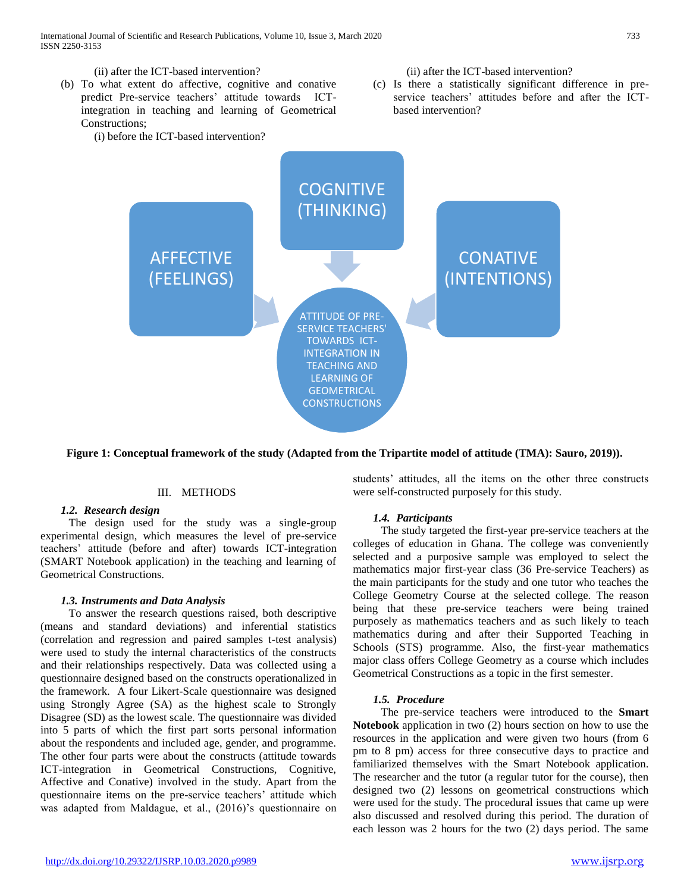

**Figure 1: Conceptual framework of the study (Adapted from the Tripartite model of attitude (TMA): Sauro, 2019)).**

## III. METHODS

#### *1.2. Research design*

 The design used for the study was a single-group experimental design, which measures the level of pre-service teachers' attitude (before and after) towards ICT-integration (SMART Notebook application) in the teaching and learning of Geometrical Constructions.

#### *1.3. Instruments and Data Analysis*

 To answer the research questions raised, both descriptive (means and standard deviations) and inferential statistics (correlation and regression and paired samples t-test analysis) were used to study the internal characteristics of the constructs and their relationships respectively. Data was collected using a questionnaire designed based on the constructs operationalized in the framework. A four Likert-Scale questionnaire was designed using Strongly Agree (SA) as the highest scale to Strongly Disagree (SD) as the lowest scale. The questionnaire was divided into 5 parts of which the first part sorts personal information about the respondents and included age, gender, and programme. The other four parts were about the constructs (attitude towards ICT-integration in Geometrical Constructions, Cognitive, Affective and Conative) involved in the study. Apart from the questionnaire items on the pre-service teachers' attitude which was adapted from Maldague, et al., (2016)'s questionnaire on students' attitudes, all the items on the other three constructs were self-constructed purposely for this study.

#### *1.4. Participants*

 The study targeted the first-year pre-service teachers at the colleges of education in Ghana. The college was conveniently selected and a purposive sample was employed to select the mathematics major first-year class (36 Pre-service Teachers) as the main participants for the study and one tutor who teaches the College Geometry Course at the selected college. The reason being that these pre-service teachers were being trained purposely as mathematics teachers and as such likely to teach mathematics during and after their Supported Teaching in Schools (STS) programme. Also, the first-year mathematics major class offers College Geometry as a course which includes Geometrical Constructions as a topic in the first semester.

#### *1.5. Procedure*

 The pre-service teachers were introduced to the **Smart Notebook** application in two (2) hours section on how to use the resources in the application and were given two hours (from 6 pm to 8 pm) access for three consecutive days to practice and familiarized themselves with the Smart Notebook application. The researcher and the tutor (a regular tutor for the course), then designed two (2) lessons on geometrical constructions which were used for the study. The procedural issues that came up were also discussed and resolved during this period. The duration of each lesson was 2 hours for the two (2) days period. The same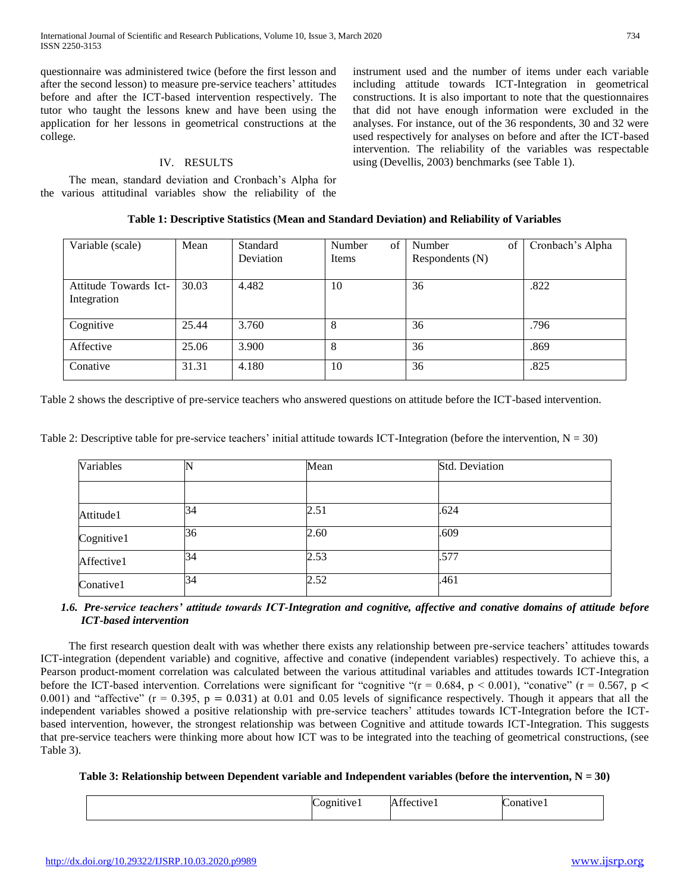questionnaire was administered twice (before the first lesson and after the second lesson) to measure pre-service teachers' attitudes before and after the ICT-based intervention respectively. The tutor who taught the lessons knew and have been using the application for her lessons in geometrical constructions at the college.

## IV. RESULTS

 The mean, standard deviation and Cronbach's Alpha for the various attitudinal variables show the reliability of the instrument used and the number of items under each variable including attitude towards ICT-Integration in geometrical constructions. It is also important to note that the questionnaires that did not have enough information were excluded in the analyses. For instance, out of the 36 respondents, 30 and 32 were used respectively for analyses on before and after the ICT-based intervention. The reliability of the variables was respectable using (Devellis, 2003) benchmarks (see Table 1).

| Variable (scale)                     | Mean  | Standard<br>Deviation | $\sigma$ f<br>Number<br>Items | Number<br>of<br>Respondents (N) | Cronbach's Alpha |
|--------------------------------------|-------|-----------------------|-------------------------------|---------------------------------|------------------|
| Attitude Towards Ict-<br>Integration | 30.03 | 4.482                 | 10                            | 36                              | .822             |
| Cognitive                            | 25.44 | 3.760                 | 8                             | 36                              | .796             |
| Affective                            | 25.06 | 3.900                 | 8                             | 36                              | .869             |
| Conative                             | 31.31 | 4.180                 | 10                            | 36                              | .825             |

Table 2 shows the descriptive of pre-service teachers who answered questions on attitude before the ICT-based intervention.

| Table 2: Descriptive table for pre-service teachers' initial attitude towards ICT-Integration (before the intervention, $N = 30$ ) |  |  |  |
|------------------------------------------------------------------------------------------------------------------------------------|--|--|--|
|                                                                                                                                    |  |  |  |

| Variables  |    | Mean | Std. Deviation |  |
|------------|----|------|----------------|--|
|            |    |      |                |  |
| Attitude1  | 34 | 2.51 | .624           |  |
| Cognitive1 | 36 | 2.60 | .609           |  |
| Affective1 | 34 | 2.53 | .577           |  |
| Conative1  | 34 | 2.52 | .461           |  |

# *1.6. Pre-service teachers' attitude towards ICT-Integration and cognitive, affective and conative domains of attitude before ICT-based intervention*

 The first research question dealt with was whether there exists any relationship between pre-service teachers' attitudes towards ICT-integration (dependent variable) and cognitive, affective and conative (independent variables) respectively. To achieve this, a Pearson product-moment correlation was calculated between the various attitudinal variables and attitudes towards ICT-Integration before the ICT-based intervention. Correlations were significant for "cognitive " $(r = 0.684, p < 0.001)$ , "conative"  $(r = 0.567, p <$ 0.001) and "affective"  $(r = 0.395, p = 0.031)$  at 0.01 and 0.05 levels of significance respectively. Though it appears that all the independent variables showed a positive relationship with pre-service teachers' attitudes towards ICT-Integration before the ICTbased intervention, however, the strongest relationship was between Cognitive and attitude towards ICT-Integration. This suggests that pre-service teachers were thinking more about how ICT was to be integrated into the teaching of geometrical constructions, (see Table 3).

#### **Table 3: Relationship between Dependent variable and Independent variables (before the intervention, N = 30)**

|  | $\sqrt{ }$<br>umuve. | $\sim$<br>$^{\circ}$ tive $_{1}$<br>$-1$ | v<br>ative i<br>п. |
|--|----------------------|------------------------------------------|--------------------|
|--|----------------------|------------------------------------------|--------------------|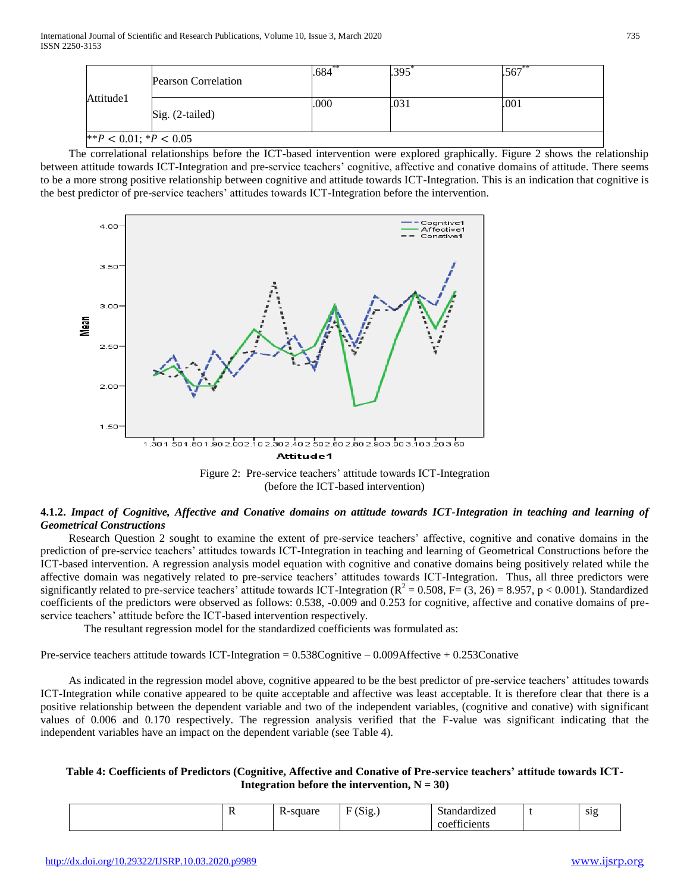| <b>Pearson Correlation</b><br>Attitude1<br>Sig. (2-tailed) |  | $.684***$ | .395 | $.567**$ |
|------------------------------------------------------------|--|-----------|------|----------|
|                                                            |  | .000      | .031 | .001     |
| ** $P < 0.01$ ; * $P < 0.05$                               |  |           |      |          |

 The correlational relationships before the ICT-based intervention were explored graphically. Figure 2 shows the relationship between attitude towards ICT-Integration and pre-service teachers' cognitive, affective and conative domains of attitude. There seems to be a more strong positive relationship between cognitive and attitude towards ICT-Integration. This is an indication that cognitive is the best predictor of pre-service teachers' attitudes towards ICT-Integration before the intervention.



Figure 2: Pre-service teachers' attitude towards ICT-Integration (before the ICT-based intervention)

# **4.1.2.** *Impact of Cognitive, Affective and Conative domains on attitude towards ICT-Integration in teaching and learning of Geometrical Constructions*

 Research Question 2 sought to examine the extent of pre-service teachers' affective, cognitive and conative domains in the prediction of pre-service teachers' attitudes towards ICT-Integration in teaching and learning of Geometrical Constructions before the ICT-based intervention. A regression analysis model equation with cognitive and conative domains being positively related while the affective domain was negatively related to pre-service teachers' attitudes towards ICT-Integration. Thus, all three predictors were significantly related to pre-service teachers' attitude towards ICT-Integration ( $R^2 = 0.508$ , F= (3, 26) = 8.957, p < 0.001). Standardized coefficients of the predictors were observed as follows: 0.538, -0.009 and 0.253 for cognitive, affective and conative domains of preservice teachers' attitude before the ICT-based intervention respectively.

The resultant regression model for the standardized coefficients was formulated as:

Pre-service teachers attitude towards ICT-Integration = 0.538Cognitive – 0.009Affective + 0.253Conative

 As indicated in the regression model above, cognitive appeared to be the best predictor of pre-service teachers' attitudes towards ICT-Integration while conative appeared to be quite acceptable and affective was least acceptable. It is therefore clear that there is a positive relationship between the dependent variable and two of the independent variables, (cognitive and conative) with significant values of 0.006 and 0.170 respectively. The regression analysis verified that the F-value was significant indicating that the independent variables have an impact on the dependent variable (see Table 4).

## **Table 4: Coefficients of Predictors (Cognitive, Affective and Conative of Pre-service teachers' attitude towards ICT-Integration before the intervention,**  $N = 30$ )

|  | $\alpha$ 110 $\alpha$<br>uai | $\sqrt{2}$<br>DIL.<br>ັ | dardızeq<br>$+ \alpha +$<br>ния        | S1S |
|--|------------------------------|-------------------------|----------------------------------------|-----|
|  |                              |                         | $\sim$<br>'†icients<br>۰.<br>. .e<br>. |     |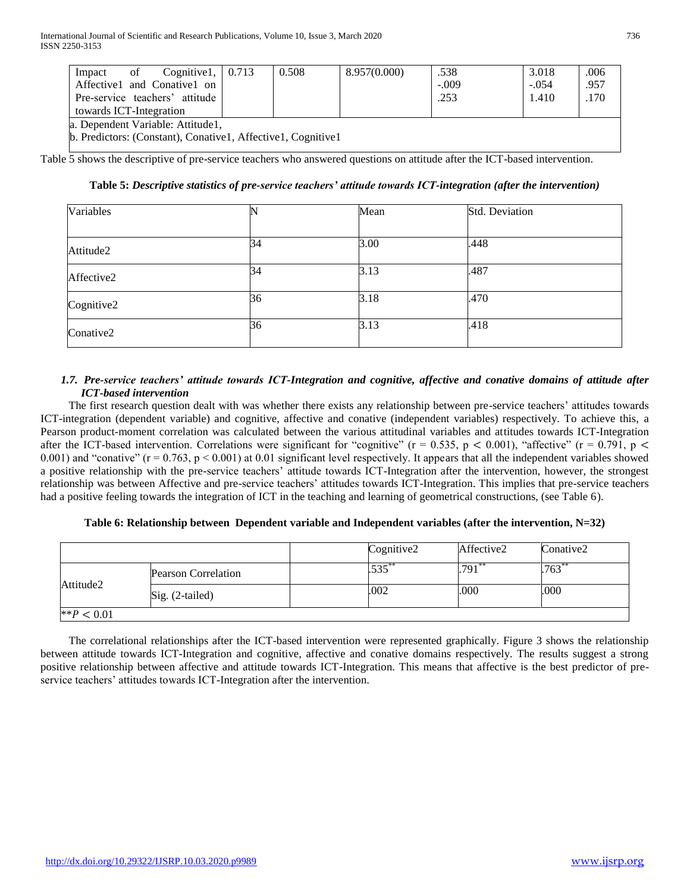| Cognitive 1, $\vert$ 0.713<br>of<br>Impact                   |  | 0.508 | 8.957(0.000) | .538    | 3.018   | .006 |
|--------------------------------------------------------------|--|-------|--------------|---------|---------|------|
| Affective1 and Conative1 on                                  |  |       |              | $-.009$ | $-.054$ | .957 |
| .253<br>Pre-service teachers' attitude<br>1.410              |  |       |              |         | .170    |      |
| towards ICT-Integration                                      |  |       |              |         |         |      |
| a. Dependent Variable: Attitude1,                            |  |       |              |         |         |      |
| b. Predictors: (Constant), Conative1, Affective1, Cognitive1 |  |       |              |         |         |      |

Table 5 shows the descriptive of pre-service teachers who answered questions on attitude after the ICT-based intervention.

Cognitive2  $36$   $3.18$   $.470$ 

Conative 2  $36$   $3.13$   $418$ 

| Variables  |    | Mean | Std. Deviation |
|------------|----|------|----------------|
|            |    |      |                |
| Attitude2  | 34 | 3.00 | .448           |
| Affective2 | 34 | 3.13 | .487           |

## **Table 5:** *Descriptive statistics of pre-service teachers' attitude towards ICT-integration (after the intervention)*

## *1.7. Pre-service teachers' attitude towards ICT-Integration and cognitive, affective and conative domains of attitude after ICT-based intervention*

 The first research question dealt with was whether there exists any relationship between pre-service teachers' attitudes towards ICT-integration (dependent variable) and cognitive, affective and conative (independent variables) respectively. To achieve this, a Pearson product-moment correlation was calculated between the various attitudinal variables and attitudes towards ICT-Integration after the ICT-based intervention. Correlations were significant for "cognitive" ( $r = 0.535$ ,  $p < 0.001$ ), "affective" ( $r = 0.791$ ,  $p <$ 0.001) and "conative"  $(r = 0.763, p \le 0.001)$  at 0.01 significant level respectively. It appears that all the independent variables showed a positive relationship with the pre-service teachers' attitude towards ICT-Integration after the intervention, however, the strongest relationship was between Affective and pre-service teachers' attitudes towards ICT-Integration. This implies that pre-service teachers had a positive feeling towards the integration of ICT in the teaching and learning of geometrical constructions, (see Table 6).

#### **Table 6: Relationship between Dependent variable and Independent variables (after the intervention, N=32)**

|               |                            | Cognitive2 | Affective2 | Conative2 |
|---------------|----------------------------|------------|------------|-----------|
|               | <b>Pearson Correlation</b> | .535       | .791       | $.763**$  |
| Attitude2     | $Sig. (2-tailed)$          | .002       | .000       | .000      |
| ** $P < 0.01$ |                            |            |            |           |

 The correlational relationships after the ICT-based intervention were represented graphically. Figure 3 shows the relationship between attitude towards ICT-Integration and cognitive, affective and conative domains respectively. The results suggest a strong positive relationship between affective and attitude towards ICT-Integration. This means that affective is the best predictor of preservice teachers' attitudes towards ICT-Integration after the intervention.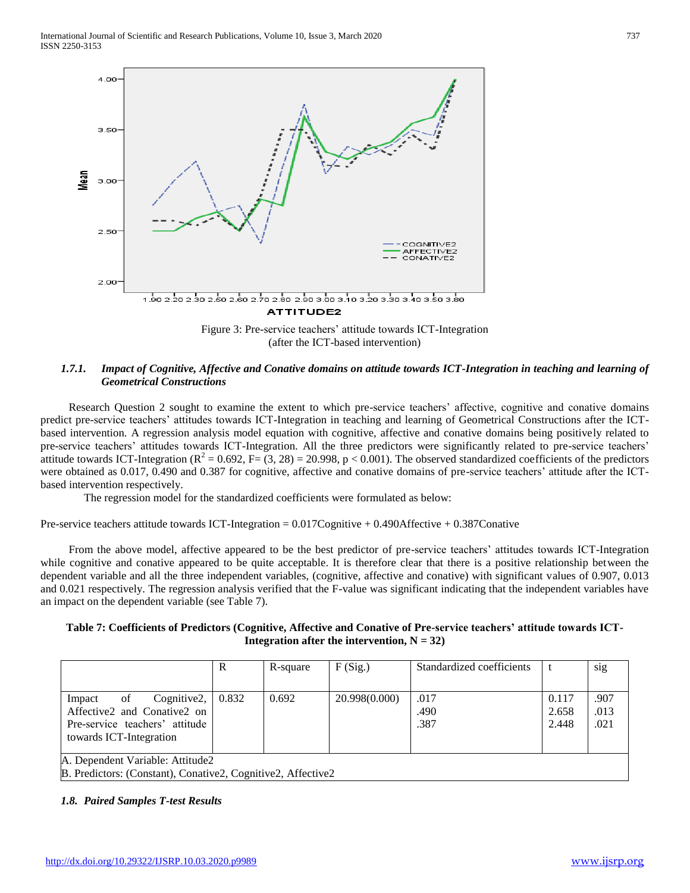

(after the ICT-based intervention)

## *1.7.1. Impact of Cognitive, Affective and Conative domains on attitude towards ICT-Integration in teaching and learning of Geometrical Constructions*

 Research Question 2 sought to examine the extent to which pre-service teachers' affective, cognitive and conative domains predict pre-service teachers' attitudes towards ICT-Integration in teaching and learning of Geometrical Constructions after the ICTbased intervention. A regression analysis model equation with cognitive, affective and conative domains being positively related to pre-service teachers' attitudes towards ICT-Integration. All the three predictors were significantly related to pre-service teachers' attitude towards ICT-Integration ( $R^2 = 0.692$ , F= (3, 28) = 20.998, p < 0.001). The observed standardized coefficients of the predictors were obtained as 0.017, 0.490 and 0.387 for cognitive, affective and conative domains of pre-service teachers' attitude after the ICTbased intervention respectively.

The regression model for the standardized coefficients were formulated as below:

Pre-service teachers attitude towards ICT-Integration =  $0.017$ Cognitive +  $0.490$ Affective +  $0.387$ Conative

 From the above model, affective appeared to be the best predictor of pre-service teachers' attitudes towards ICT-Integration while cognitive and conative appeared to be quite acceptable. It is therefore clear that there is a positive relationship between the dependent variable and all the three independent variables, (cognitive, affective and conative) with significant values of 0.907, 0.013 and 0.021 respectively. The regression analysis verified that the F-value was significant indicating that the independent variables have an impact on the dependent variable (see Table 7).

## **Table 7: Coefficients of Predictors (Cognitive, Affective and Conative of Pre-service teachers' attitude towards ICT-Integration after the intervention,**  $N = 32$ **)**

|                                                                                                                              | R     | R-square | F(Sig.)       | Standardized coefficients |                         | sig                  |  |
|------------------------------------------------------------------------------------------------------------------------------|-------|----------|---------------|---------------------------|-------------------------|----------------------|--|
| Cognitive $2,  $<br>of<br>Impact<br>Affective2 and Conative2 on<br>Pre-service teachers' attitude<br>towards ICT-Integration | 0.832 | 0.692    | 20.998(0.000) | .017<br>.490<br>.387      | 0.117<br>2.658<br>2.448 | .907<br>.013<br>.021 |  |
| A. Dependent Variable: Attitude2<br>B. Predictors: (Constant), Conative2, Cognitive2, Affective2                             |       |          |               |                           |                         |                      |  |

# *1.8. Paired Samples T-test Results*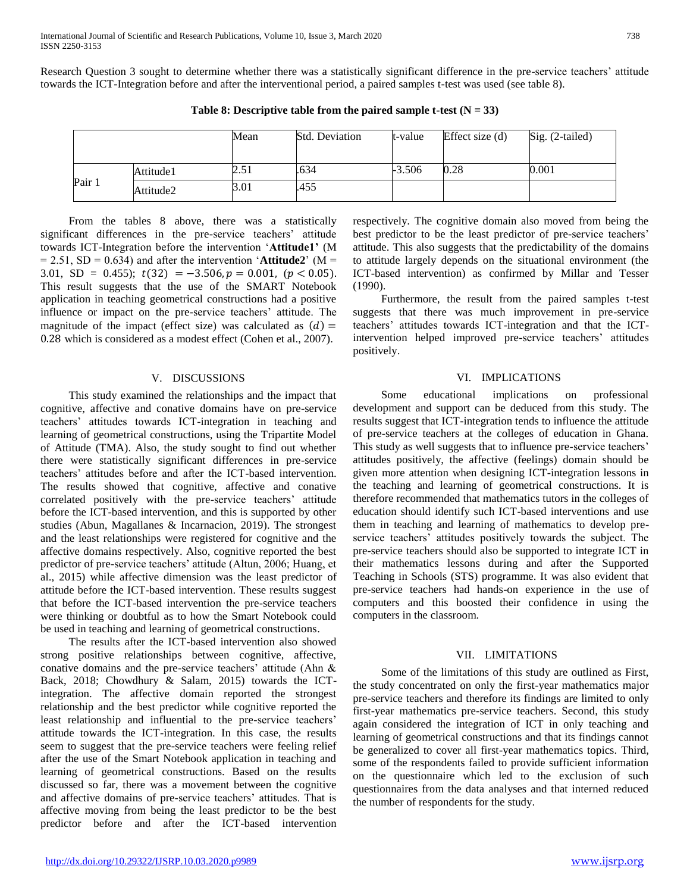Research Question 3 sought to determine whether there was a statistically significant difference in the pre-service teachers' attitude towards the ICT-Integration before and after the interventional period, a paired samples t-test was used (see table 8).

|        |           | Mean | <b>Std. Deviation</b> | t-value  | Effect size (d) | Sig. (2-tailed) |
|--------|-----------|------|-----------------------|----------|-----------------|-----------------|
| Pair 1 | Attitude1 | 2.5  | .634                  | $-3.506$ | 0.28            | 0.001           |
|        | Attitude2 | 3.01 | .455                  |          |                 |                 |

Table 8: Descriptive table from the paired sample t-test  $(N = 33)$ 

 From the tables 8 above, there was a statistically significant differences in the pre-service teachers' attitude towards ICT-Integration before the intervention '**Attitude1'** (M  $= 2.51$ , SD  $= 0.634$ ) and after the intervention 'Attitude2' (M  $=$ 3.01, SD = 0.455);  $t(32) = -3.506, p = 0.001, (p < 0.05)$ . This result suggests that the use of the SMART Notebook application in teaching geometrical constructions had a positive influence or impact on the pre-service teachers' attitude. The magnitude of the impact (effect size) was calculated as  $(d)$  = 0.28 which is considered as a modest effect (Cohen et al., 2007).

#### V. DISCUSSIONS

 This study examined the relationships and the impact that cognitive, affective and conative domains have on pre-service teachers' attitudes towards ICT-integration in teaching and learning of geometrical constructions, using the Tripartite Model of Attitude (TMA). Also, the study sought to find out whether there were statistically significant differences in pre-service teachers' attitudes before and after the ICT-based intervention. The results showed that cognitive, affective and conative correlated positively with the pre-service teachers' attitude before the ICT-based intervention, and this is supported by other studies (Abun, Magallanes & Incarnacion, 2019). The strongest and the least relationships were registered for cognitive and the affective domains respectively. Also, cognitive reported the best predictor of pre-service teachers' attitude (Altun, 2006; Huang, et al., 2015) while affective dimension was the least predictor of attitude before the ICT-based intervention. These results suggest that before the ICT-based intervention the pre-service teachers were thinking or doubtful as to how the Smart Notebook could be used in teaching and learning of geometrical constructions.

 The results after the ICT-based intervention also showed strong positive relationships between cognitive, affective, conative domains and the pre-service teachers' attitude (Ahn & Back, 2018; Chowdhury & Salam, 2015) towards the ICTintegration. The affective domain reported the strongest relationship and the best predictor while cognitive reported the least relationship and influential to the pre-service teachers' attitude towards the ICT-integration. In this case, the results seem to suggest that the pre-service teachers were feeling relief after the use of the Smart Notebook application in teaching and learning of geometrical constructions. Based on the results discussed so far, there was a movement between the cognitive and affective domains of pre-service teachers' attitudes. That is affective moving from being the least predictor to be the best predictor before and after the ICT-based intervention

respectively. The cognitive domain also moved from being the best predictor to be the least predictor of pre-service teachers' attitude. This also suggests that the predictability of the domains to attitude largely depends on the situational environment (the ICT-based intervention) as confirmed by Millar and Tesser (1990).

 Furthermore, the result from the paired samples t-test suggests that there was much improvement in pre-service teachers' attitudes towards ICT-integration and that the ICTintervention helped improved pre-service teachers' attitudes positively.

#### VI. IMPLICATIONS

 Some educational implications on professional development and support can be deduced from this study. The results suggest that ICT-integration tends to influence the attitude of pre-service teachers at the colleges of education in Ghana. This study as well suggests that to influence pre-service teachers' attitudes positively, the affective (feelings) domain should be given more attention when designing ICT-integration lessons in the teaching and learning of geometrical constructions. It is therefore recommended that mathematics tutors in the colleges of education should identify such ICT-based interventions and use them in teaching and learning of mathematics to develop preservice teachers' attitudes positively towards the subject. The pre-service teachers should also be supported to integrate ICT in their mathematics lessons during and after the Supported Teaching in Schools (STS) programme. It was also evident that pre-service teachers had hands-on experience in the use of computers and this boosted their confidence in using the computers in the classroom.

#### VII. LIMITATIONS

 Some of the limitations of this study are outlined as First, the study concentrated on only the first-year mathematics major pre-service teachers and therefore its findings are limited to only first-year mathematics pre-service teachers. Second, this study again considered the integration of ICT in only teaching and learning of geometrical constructions and that its findings cannot be generalized to cover all first-year mathematics topics. Third, some of the respondents failed to provide sufficient information on the questionnaire which led to the exclusion of such questionnaires from the data analyses and that interned reduced the number of respondents for the study.